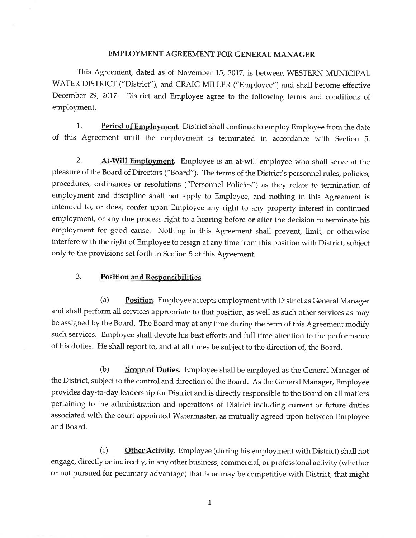# **EMPLOYMENT AGREEMENT FOR GENERAL MANAGER**

This Agreement, dated as of November 15, 2017, is between WESTERN MUNICIPAL WATER DISTRICT ("District"), and CRAIG MILLER ("Employee") and shall become effective December 29, 2017. District and Employee agree to the following terms and conditions of employment.

Period of Employment. District shall continue to employ Employee from the date 1. of this Agreement until the employment is terminated in accordance with Section 5.

2. **At-Will Employment.** Employee is an at-will employee who shall serve at the pleasure of the Board of Directors ("Board"). The terms of the District's personnel rules, policies, procedures, ordinances or resolutions ("Personnel Policies") as they relate to termination of employment and discipline shall not apply to Employee, and nothing in this Agreement is intended to, or does, confer upon Employee any right to any property interest in continued employment, or any due process right to a hearing before or after the decision to terminate his employment for good cause. Nothing in this Agreement shall prevent, limit, or otherwise interfere with the right of Employee to resign at any time from this position with District, subject only to the provisions set forth in Section 5 of this Agreement.

#### 3. **Position and Responsibilities**

Position. Employee accepts employment with District as General Manager  $(a)$ and shall perform all services appropriate to that position, as well as such other services as may be assigned by the Board. The Board may at any time during the term of this Agreement modify such services. Employee shall devote his best efforts and full-time attention to the performance of his duties. He shall report to, and at all times be subject to the direction of, the Board.

 $(b)$ Scope of Duties. Employee shall be employed as the General Manager of the District, subject to the control and direction of the Board. As the General Manager, Employee provides day-to-day leadership for District and is directly responsible to the Board on all matters pertaining to the administration and operations of District including current or future duties associated with the court appointed Watermaster, as mutually agreed upon between Employee and Board.

 $(c)$ Other Activity. Employee (during his employment with District) shall not engage, directly or indirectly, in any other business, commercial, or professional activity (whether or not pursued for pecuniary advantage) that is or may be competitive with District, that might

 $\mathbf{1}$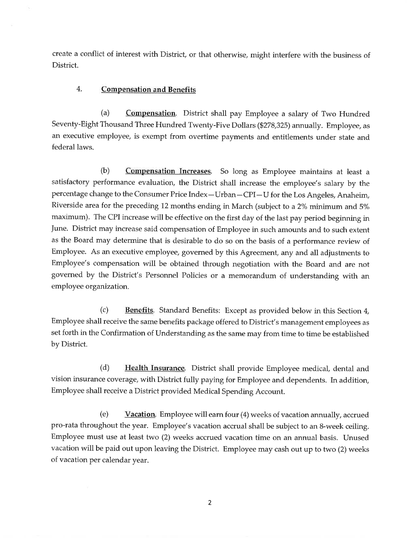create a conflict of interest with District, or that otherwise, might interfere with the business of District.

#### 4. **Compensation and Benefits**

 $(a)$ **Compensation.** District shall pay Employee a salary of Two Hundred Seventy-Eight Thousand Three Hundred Twenty-Five Dollars (\$278,325) annually. Employee, as an executive employee, is exempt from overtime payments and entitlements under state and federal laws.

Compensation Increases. So long as Employee maintains at least a  $(b)$ satisfactory performance evaluation, the District shall increase the employee's salary by the percentage change to the Consumer Price Index-Urban-CPI-U for the Los Angeles, Anaheim, Riverside area for the preceding 12 months ending in March (subject to a 2% minimum and 5% maximum). The CPI increase will be effective on the first day of the last pay period beginning in June. District may increase said compensation of Employee in such amounts and to such extent as the Board may determine that is desirable to do so on the basis of a performance review of Employee. As an executive employee, governed by this Agreement, any and all adjustments to Employee's compensation will be obtained through negotiation with the Board and are not governed by the District's Personnel Policies or a memorandum of understanding with an employee organization.

Benefits. Standard Benefits: Except as provided below in this Section 4,  $(c)$ Employee shall receive the same benefits package offered to District's management employees as set forth in the Confirmation of Understanding as the same may from time to time be established by District.

Health Insurance. District shall provide Employee medical, dental and  $(d)$ vision insurance coverage, with District fully paying for Employee and dependents. In addition, Employee shall receive a District provided Medical Spending Account.

 $(e)$ Vacation. Employee will earn four (4) weeks of vacation annually, accrued pro-rata throughout the year. Employee's vacation accrual shall be subject to an 8-week ceiling. Employee must use at least two (2) weeks accrued vacation time on an annual basis. Unused vacation will be paid out upon leaving the District. Employee may cash out up to two (2) weeks of vacation per calendar year.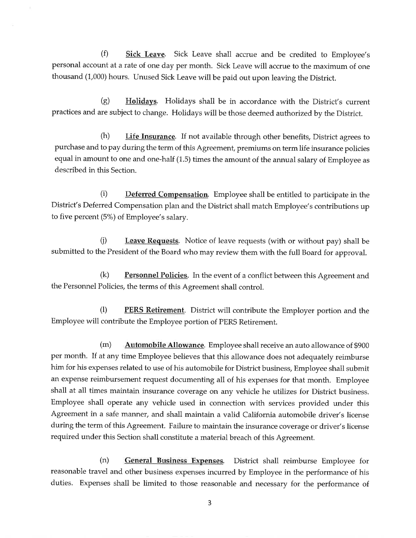$(f)$ **Sick Leave.** Sick Leave shall accrue and be credited to Employee's personal account at a rate of one day per month. Sick Leave will accrue to the maximum of one thousand (1,000) hours. Unused Sick Leave will be paid out upon leaving the District.

Holidays. Holidays shall be in accordance with the District's current  $(g)$ practices and are subject to change. Holidays will be those deemed authorized by the District.

 $(h)$ **Life Insurance**. If not available through other benefits, District agrees to purchase and to pay during the term of this Agreement, premiums on term life insurance policies equal in amount to one and one-half (1.5) times the amount of the annual salary of Employee as described in this Section.

 $(i)$ **Deferred Compensation.** Employee shall be entitled to participate in the District's Deferred Compensation plan and the District shall match Employee's contributions up to five percent (5%) of Employee's salary.

Leave Requests. Notice of leave requests (with or without pay) shall be  $(i)$ submitted to the President of the Board who may review them with the full Board for approval.

 $(k)$ **Personnel Policies.** In the event of a conflict between this Agreement and the Personnel Policies, the terms of this Agreement shall control.

 $(1)$ PERS Retirement. District will contribute the Employer portion and the Employee will contribute the Employee portion of PERS Retirement.

Automobile Allowance. Employee shall receive an auto allowance of \$900  $(m)$ per month. If at any time Employee believes that this allowance does not adequately reimburse him for his expenses related to use of his automobile for District business, Employee shall submit an expense reimbursement request documenting all of his expenses for that month. Employee shall at all times maintain insurance coverage on any vehicle he utilizes for District business. Employee shall operate any vehicle used in connection with services provided under this Agreement in a safe manner, and shall maintain a valid California automobile driver's license during the term of this Agreement. Failure to maintain the insurance coverage or driver's license required under this Section shall constitute a material breach of this Agreement.

 $(n)$ General Business Expenses. District shall reimburse Employee for reasonable travel and other business expenses incurred by Employee in the performance of his duties. Expenses shall be limited to those reasonable and necessary for the performance of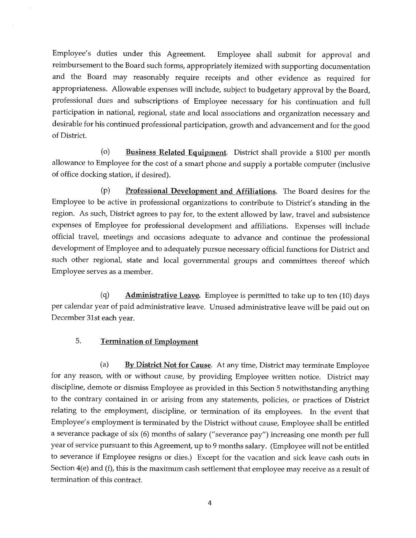Employee's duties under this Agreement. Employee shall submit for approval and reimbursement to the Board such forms, appropriately itemized with supporting documentation and the Board may reasonably require receipts and other evidence as required for appropriateness. Allowable expenses will include, subject to budgetary approval by the Board, professional dues and subscriptions of Employee necessary for his continuation and full participation in national, regional, state and local associations and organization necessary and desirable for his continued professional participation, growth and advancement and for the good of District.

 $(o)$ **Business Related Equipment.** District shall provide a \$100 per month allowance to Employee for the cost of a smart phone and supply a portable computer (inclusive of office docking station, if desired).

 $(p)$ Professional Development and Affiliations. The Board desires for the Employee to be active in professional organizations to contribute to District's standing in the region. As such, District agrees to pay for, to the extent allowed by law, travel and subsistence expenses of Employee for professional development and affiliations. Expenses will include official travel, meetings and occasions adequate to advance and continue the professional development of Employee and to adequately pursue necessary official functions for District and such other regional, state and local governmental groups and committees thereof which Employee serves as a member.

 $(q)$ **Administrative Leave.** Employee is permitted to take up to ten (10) days per calendar year of paid administrative leave. Unused administrative leave will be paid out on December 31st each year.

#### 5. **Termination of Employment**

 $(a)$ **By District Not for Cause.** At any time, District may terminate Employee for any reason, with or without cause, by providing Employee written notice. District may discipline, demote or dismiss Employee as provided in this Section 5 notwithstanding anything to the contrary contained in or arising from any statements, policies, or practices of District relating to the employment, discipline, or termination of its employees. In the event that Employee's employment is terminated by the District without cause, Employee shall be entitled a severance package of six (6) months of salary ("severance pay") increasing one month per full year of service pursuant to this Agreement, up to 9 months salary. (Employee will not be entitled to severance if Employee resigns or dies.) Except for the vacation and sick leave cash outs in Section 4(e) and (f), this is the maximum cash settlement that employee may receive as a result of termination of this contract.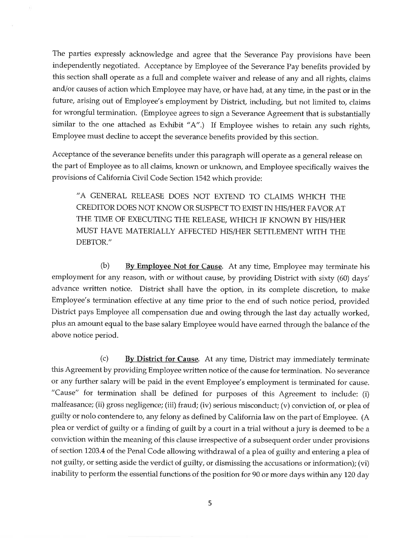The parties expressly acknowledge and agree that the Severance Pay provisions have been independently negotiated. Acceptance by Employee of the Severance Pay benefits provided by this section shall operate as a full and complete waiver and release of any and all rights, claims and/or causes of action which Employee may have, or have had, at any time, in the past or in the future, arising out of Employee's employment by District, including, but not limited to, claims for wrongful termination. (Employee agrees to sign a Severance Agreement that is substantially similar to the one attached as Exhibit "A".) If Employee wishes to retain any such rights, Employee must decline to accept the severance benefits provided by this section.

Acceptance of the severance benefits under this paragraph will operate as a general release on the part of Employee as to all claims, known or unknown, and Employee specifically waives the provisions of California Civil Code Section 1542 which provide:

"A GENERAL RELEASE DOES NOT EXTEND TO CLAIMS WHICH THE CREDITOR DOES NOT KNOW OR SUSPECT TO EXIST IN HIS/HER FAVOR AT THE TIME OF EXECUTING THE RELEASE, WHICH IF KNOWN BY HIS/HER MUST HAVE MATERIALLY AFFECTED HIS/HER SETTLEMENT WITH THE DEBTOR."

 $(b)$ By Employee Not for Cause. At any time, Employee may terminate his employment for any reason, with or without cause, by providing District with sixty (60) days' advance written notice. District shall have the option, in its complete discretion, to make Employee's termination effective at any time prior to the end of such notice period, provided District pays Employee all compensation due and owing through the last day actually worked, plus an amount equal to the base salary Employee would have earned through the balance of the above notice period.

 $(c)$ By District for Cause. At any time, District may immediately terminate this Agreement by providing Employee written notice of the cause for termination. No severance or any further salary will be paid in the event Employee's employment is terminated for cause. "Cause" for termination shall be defined for purposes of this Agreement to include: (i) malfeasance; (ii) gross negligence; (iii) fraud; (iv) serious misconduct; (v) conviction of, or plea of guilty or nolo contendere to, any felony as defined by California law on the part of Employee. (A plea or verdict of guilty or a finding of guilt by a court in a trial without a jury is deemed to be a conviction within the meaning of this clause irrespective of a subsequent order under provisions of section 1203.4 of the Penal Code allowing withdrawal of a plea of guilty and entering a plea of not guilty, or setting aside the verdict of guilty, or dismissing the accusations or information); (vi) inability to perform the essential functions of the position for 90 or more days within any 120 day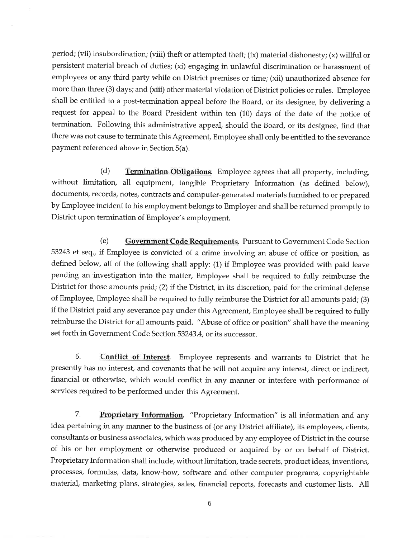period; (vii) insubordination; (viii) theft or attempted theft; (ix) material dishonesty; (x) willful or persistent material breach of duties; (xi) engaging in unlawful discrimination or harassment of employees or any third party while on District premises or time; (xii) unauthorized absence for more than three (3) days; and (xiii) other material violation of District policies or rules. Employee shall be entitled to a post-termination appeal before the Board, or its designee, by delivering a request for appeal to the Board President within ten (10) days of the date of the notice of termination. Following this administrative appeal, should the Board, or its designee, find that there was not cause to terminate this Agreement, Employee shall only be entitled to the severance payment referenced above in Section 5(a).

 $(d)$ **Termination Obligations**. Employee agrees that all property, including, without limitation, all equipment, tangible Proprietary Information (as defined below), documents, records, notes, contracts and computer-generated materials furnished to or prepared by Employee incident to his employment belongs to Employer and shall be returned promptly to District upon termination of Employee's employment.

 $(e)$ **Government Code Requirements.** Pursuant to Government Code Section 53243 et seq., if Employee is convicted of a crime involving an abuse of office or position, as defined below, all of the following shall apply: (1) if Employee was provided with paid leave pending an investigation into the matter, Employee shall be required to fully reimburse the District for those amounts paid; (2) if the District, in its discretion, paid for the criminal defense of Employee, Employee shall be required to fully reimburse the District for all amounts paid; (3) if the District paid any severance pay under this Agreement, Employee shall be required to fully reimburse the District for all amounts paid. "Abuse of office or position" shall have the meaning set forth in Government Code Section 53243.4, or its successor.

6. Conflict of Interest. Employee represents and warrants to District that he presently has no interest, and covenants that he will not acquire any interest, direct or indirect, financial or otherwise, which would conflict in any manner or interfere with performance of services required to be performed under this Agreement.

7. Proprietary Information. "Proprietary Information" is all information and any idea pertaining in any manner to the business of (or any District affiliate), its employees, clients, consultants or business associates, which was produced by any employee of District in the course of his or her employment or otherwise produced or acquired by or on behalf of District. Proprietary Information shall include, without limitation, trade secrets, product ideas, inventions, processes, formulas, data, know-how, software and other computer programs, copyrightable material, marketing plans, strategies, sales, financial reports, forecasts and customer lists. All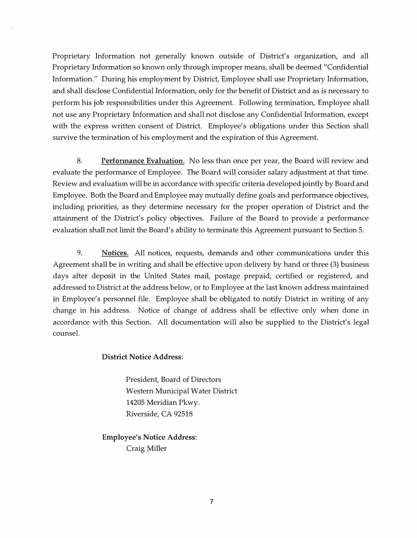Proprietary Information not generally known outside of District's organization, and all Proprietary Information so known only through improper means, shall be deemed "Confidential Information." During his employment by District, Employee shall use Proprietary Information, and shall disclose Confidential Information, only for the benefit of District and as is necessary to perform his job responsibilities under this Agreement. Following termination, Employee shall not use any Proprietary Information and shall not disclose any Confidential Information, except with the express written consent of District. Employee's obligations under this Section shall survive the termination of his employment and the expiration of this Agreement.

8. **Performance Evaluation.** No less than once per year, the Board will review and evaluate the performance of Employee. The Board will consider salary adjustment at that time. Review and evaluation will be in accordance with specific criteria developed jointly by Board and Employee. Both the Board and Employee may mutually define goals and performance objectives, including priorities, as they determine necessary for the proper operation of District and the attainment of the District's policy objectives. Failure of the Board to provide a performance evaluation shall not limit the Board's ability to terminate this Agreement pursuant to Section 5.

9. **Notices.** All notices, requests, demands and other communications under this Agreement shall be in writing and shall be effective upon delivery by hand or three (3) business days after deposit in the United States mail, postage prepaid, certified or registered, and addressed to District at the address below, or to Employee at the last known address maintained in Employee's personnel file. Employee shall be obligated to notify District in writing of any change in his address. Notice of change of address shall be effective only when done in accordance with this Section. All documentation will also be supplied to the District's legal counsel.

# **District Notice Address:**

President, Board of Directors Western Municipal Water District 14205 Meridian Pkwy. Riverside, CA 92518

**Employee's Notice Address:**  Craig Miller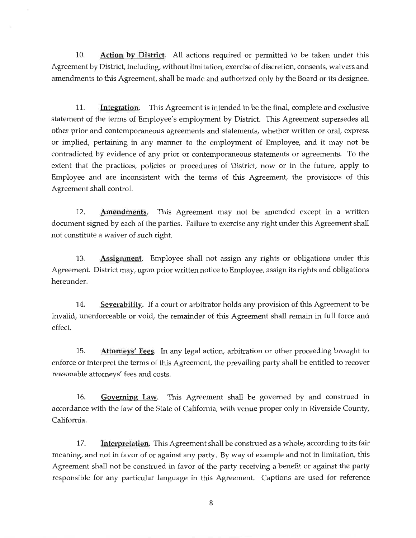Action by District. All actions required or permitted to be taken under this 10. Agreement by District, including, without limitation, exercise of discretion, consents, waivers and amendments to this Agreement, shall be made and authorized only by the Board or its designee.

11. This Agreement is intended to be the final, complete and exclusive Integration. statement of the terms of Employee's employment by District. This Agreement supersedes all other prior and contemporaneous agreements and statements, whether written or oral, express or implied, pertaining in any manner to the employment of Employee, and it may not be contradicted by evidence of any prior or contemporaneous statements or agreements. To the extent that the practices, policies or procedures of District, now or in the future, apply to Employee and are inconsistent with the terms of this Agreement, the provisions of this Agreement shall control.

This Agreement may not be amended except in a written 12. Amendments. document signed by each of the parties. Failure to exercise any right under this Agreement shall not constitute a waiver of such right.

13. **Assignment**. Employee shall not assign any rights or obligations under this Agreement. District may, upon prior written notice to Employee, assign its rights and obligations hereunder.

Severability. If a court or arbitrator holds any provision of this Agreement to be 14. invalid, unenforceable or void, the remainder of this Agreement shall remain in full force and effect.

15. **Attorneys' Fees.** In any legal action, arbitration or other proceeding brought to enforce or interpret the terms of this Agreement, the prevailing party shall be entitled to recover reasonable attorneys' fees and costs.

Governing Law. This Agreement shall be governed by and construed in 16. accordance with the law of the State of California, with venue proper only in Riverside County, California.

Interpretation. This Agreement shall be construed as a whole, according to its fair 17. meaning, and not in favor of or against any party. By way of example and not in limitation, this Agreement shall not be construed in favor of the party receiving a benefit or against the party responsible for any particular language in this Agreement. Captions are used for reference

8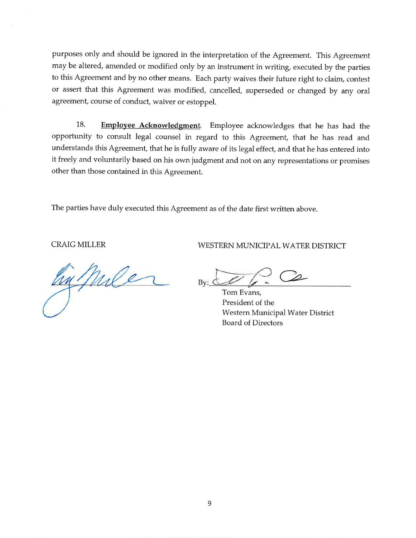purposes only and should be ignored in the interpretation of the Agreement. This Agreement may be altered, amended or modified only by an instrument in writing, executed by the parties to this Agreement and by no other means. Each party waives their future right to claim, contest or assert that this Agreement was modified, cancelled, superseded or changed by any oral agreement, course of conduct, waiver or estoppel.

18. Employee Acknowledgment. Employee acknowledges that he has had the opportunity to consult legal counsel in regard to this Agreement, that he has read and understands this Agreement, that he is fully aware of its legal effect, and that he has entered into it freely and voluntarily based on his own judgment and not on any representations or promises other than those contained in this Agreement.

The parties have duly executed this Agreement as of the date first written above.

**CRAIG MILLER** 

In Mile

WESTERN MUNICIPAL WATER DISTRICT

 $Bv:$   $\circlearrowleft$ 

Tom Evans, President of the Western Municipal Water District **Board of Directors**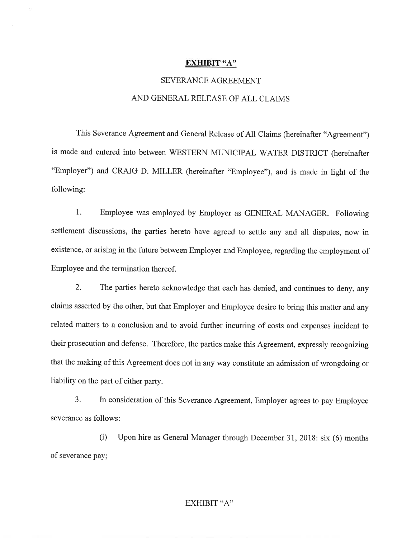### **EXHIBIT "A"**

# **SEVERANCE AGREEMENT**

# AND GENERAL RELEASE OF ALL CLAIMS

This Severance Agreement and General Release of All Claims (hereinafter "Agreement") is made and entered into between WESTERN MUNICIPAL WATER DISTRICT (hereinafter "Employer") and CRAIG D. MILLER (hereinafter "Employee"), and is made in light of the following:

 $1<sub>1</sub>$ Employee was employed by Employer as GENERAL MANAGER. Following settlement discussions, the parties hereto have agreed to settle any and all disputes, now in existence, or arising in the future between Employer and Employee, regarding the employment of Employee and the termination thereof.

 $2.$ The parties hereto acknowledge that each has denied, and continues to deny, any claims asserted by the other, but that Employer and Employee desire to bring this matter and any related matters to a conclusion and to avoid further incurring of costs and expenses incident to their prosecution and defense. Therefore, the parties make this Agreement, expressly recognizing that the making of this Agreement does not in any way constitute an admission of wrongdoing or liability on the part of either party.

 $3<sub>1</sub>$ In consideration of this Severance Agreement, Employer agrees to pay Employee severance as follows:

 $(i)$ Upon hire as General Manager through December 31, 2018: six (6) months of severance pay;

# EXHIBIT "A"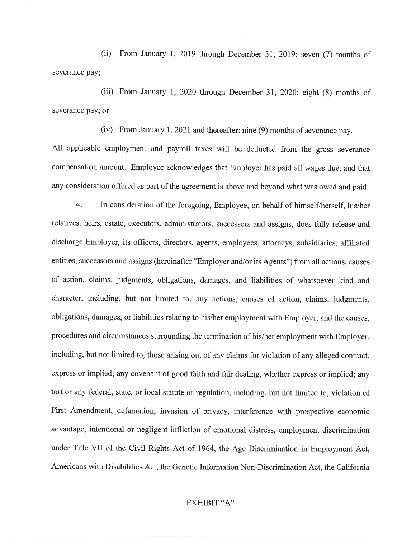(ii) From January 1, 2019 through December 31, 2019: seven (7) months of severance pay;

(iii) From January 1, 2020 through December 31, 2020: eight (8) months of severance pay; or

(iv) From January 1, 2021 and thereafter: nine (9) months of severance pay.

All applicable employment and payroll taxes will be deducted from the gross severance compensation amount. Employee acknowledges that Employer has paid all wages due, and that any consideration offered as part of the agreement is above and beyond what was owed and paid.

 $\overline{4}$ . In consideration of the foregoing, Employee, on behalf of himself/herself, his/her relatives, heirs, estate, executors, administrators, successors and assigns, does fully release and discharge Employer, its officers, directors, agents, employees, attorneys, subsidiaries, affiliated entities, successors and assigns (hereinafter "Employer and/or its Agents") from all actions, causes of action, claims, judgments, obligations, damages, and liabilities of whatsoever kind and character, including, but not limited to, any actions, causes of action, claims, judgments, obligations, damages, or liabilities relating to his/her employment with Employer, and the causes, procedures and circumstances surrounding the termination of his/her employment with Employer, including, but not limited to, those arising out of any claims for violation of any alleged contract, express or implied; any covenant of good faith and fair dealing, whether express or implied; any tort or any federal, state, or local statute or regulation, including, but not limited to, violation of First Amendment, defamation, invasion of privacy, interference with prospective economic advantage, intentional or negligent infliction of emotional distress, employment discrimination under Title VII of the Civil Rights Act of 1964, the Age Discrimination in Employment Act, Americans with Disabilities Act, the Genetic Information Non-Discrimination Act, the California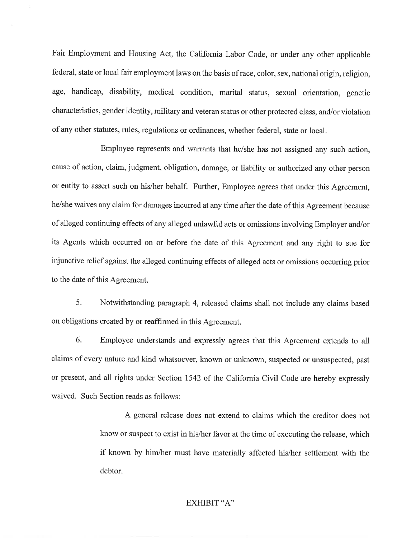Fair Employment and Housing Act, the California Labor Code, or under any other applicable federal, state or local fair employment laws on the basis of race, color, sex, national origin, religion, age, handicap, disability, medical condition, marital status, sexual orientation, genetic characteristics, gender identity, military and veteran status or other protected class, and/or violation of any other statutes, rules, regulations or ordinances, whether federal, state or local.

Employee represents and warrants that he/she has not assigned any such action, cause of action, claim, judgment, obligation, damage, or liability or authorized any other person or entity to assert such on his/her behalf. Further, Employee agrees that under this Agreement, he/she waives any claim for damages incurred at any time after the date of this Agreement because of alleged continuing effects of any alleged unlawful acts or omissions involving Employer and/or its Agents which occurred on or before the date of this Agreement and any right to sue for injunctive relief against the alleged continuing effects of alleged acts or omissions occurring prior to the date of this Agreement.

5. Notwithstanding paragraph 4, released claims shall not include any claims based on obligations created by or reaffirmed in this Agreement.

6. Employee understands and expressly agrees that this Agreement extends to all claims of every nature and kind whatsoever, known or unknown, suspected or unsuspected, past or present, and all rights under Section 1542 of the California Civil Code are hereby expressly waived. Such Section reads as follows:

> A general release does not extend to claims which the creditor does not know or suspect to exist in his/her favor at the time of executing the release, which if known by him/her must have materially affected his/her settlement with the debtor.

### **EXHIBIT "A"**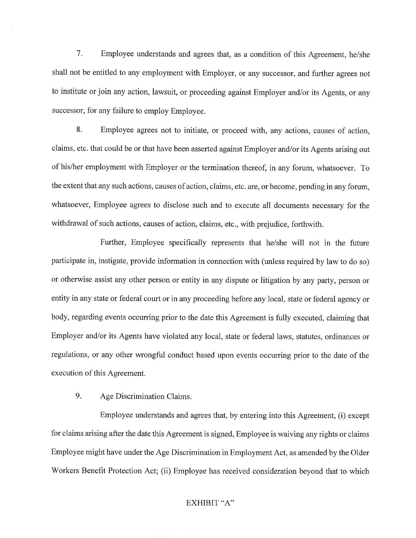7. Employee understands and agrees that, as a condition of this Agreement, he/she shall not be entitled to any employment with Employer, or any successor, and further agrees not to institute or join any action, lawsuit, or proceeding against Employer and/or its Agents, or any successor, for any failure to employ Employee.

8. Employee agrees not to initiate, or proceed with, any actions, causes of action, claims, etc. that could be or that have been asserted against Employer and/or its Agents arising out of his/her employment with Employer or the termination thereof, in any forum, whatsoever. To the extent that any such actions, causes of action, claims, etc. are, or become, pending in any forum, whatsoever, Employee agrees to disclose such and to execute all documents necessary for the withdrawal of such actions, causes of action, claims, etc., with prejudice, forthwith.

Further, Employee specifically represents that he/she will not in the future participate in, instigate, provide information in connection with (unless required by law to do so) or otherwise assist any other person or entity in any dispute or litigation by any party, person or entity in any state or federal court or in any proceeding before any local, state or federal agency or body, regarding events occurring prior to the date this Agreement is fully executed, claiming that Employer and/or its Agents have violated any local, state or federal laws, statutes, ordinances or regulations, or any other wrongful conduct based upon events occurring prior to the date of the execution of this Agreement.

9. Age Discrimination Claims.

Employee understands and agrees that, by entering into this Agreement, (i) except for claims arising after the date this Agreement is signed, Employee is waiving any rights or claims Employee might have under the Age Discrimination in Employment Act, as amended by the Older Workers Benefit Protection Act; (ii) Employee has received consideration beyond that to which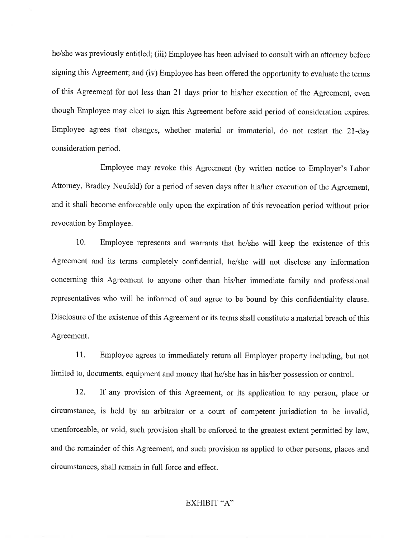he/she was previously entitled; (iii) Employee has been advised to consult with an attorney before signing this Agreement; and (iv) Employee has been offered the opportunity to evaluate the terms of this Agreement for not less than 21 days prior to his/her execution of the Agreement, even though Employee may elect to sign this Agreement before said period of consideration expires. Employee agrees that changes, whether material or immaterial, do not restart the 21-day consideration period.

Employee may revoke this Agreement (by written notice to Employer's Labor Attorney, Bradley Neufeld) for a period of seven days after his/her execution of the Agreement, and it shall become enforceable only upon the expiration of this revocation period without prior revocation by Employee.

 $10.$ Employee represents and warrants that he/she will keep the existence of this Agreement and its terms completely confidential, he/she will not disclose any information concerning this Agreement to anyone other than his/her immediate family and professional representatives who will be informed of and agree to be bound by this confidentiality clause. Disclosure of the existence of this Agreement or its terms shall constitute a material breach of this Agreement.

11. Employee agrees to immediately return all Employer property including, but not limited to, documents, equipment and money that he/she has in his/her possession or control.

12. If any provision of this Agreement, or its application to any person, place or circumstance, is held by an arbitrator or a court of competent jurisdiction to be invalid, unenforceable, or void, such provision shall be enforced to the greatest extent permitted by law, and the remainder of this Agreement, and such provision as applied to other persons, places and circumstances, shall remain in full force and effect.

### EXHIBIT "A"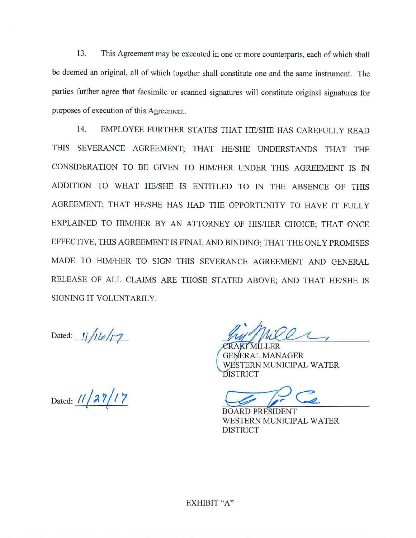13. This Agreement may be executed in one or more counterparts, each of which shall be deemed an original, all of which together shall constitute one and the same instrument. The parties further agree that facsimile or scanned signatures will constitute original signatures for purposes of execution of this Agreement.

 $14.$ EMPLOYEE FURTHER STATES THAT HE/SHE HAS CAREFULLY READ THIS SEVERANCE AGREEMENT; THAT HE/SHE UNDERSTANDS THAT THE CONSIDERATION TO BE GIVEN TO HIM/HER UNDER THIS AGREEMENT IS IN ADDITION TO WHAT HE/SHE IS ENTITLED TO IN THE ABSENCE OF THIS AGREEMENT; THAT HE/SHE HAS HAD THE OPPORTUNITY TO HAVE IT FULLY EXPLAINED TO HIM/HER BY AN ATTORNEY OF HIS/HER CHOICE; THAT ONCE EFFECTIVE, THIS AGREEMENT IS FINAL AND BINDING; THAT THE ONLY PROMISES MADE TO HIM/HER TO SIGN THIS SEVERANCE AGREEMENT AND GENERAL RELEASE OF ALL CLAIMS ARE THOSE STATED ABOVE; AND THAT HE/SHE IS SIGNING IT VOLUNTARILY.

Dated:  $11/16/17$ 

Dated: 11/27/17

**ERAL MANAGER** WESTERN MUNICIPAL WATER DISTRICT

**DARD PRESIDENT** WESTERN MUNICIPAL WATER **DISTRICT**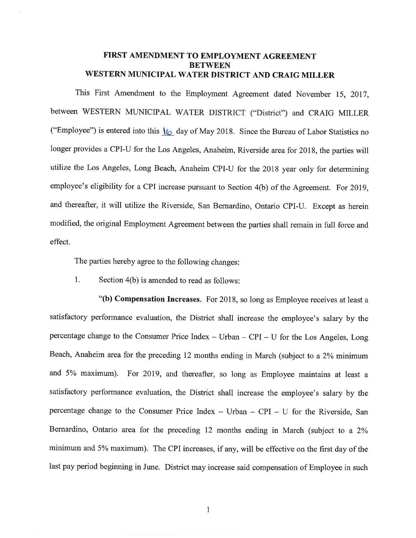# FIRST AMENDMENT TO EMPLOYMENT AGREEMENT **BETWEEN** WESTERN MUNICIPAL WATER DISTRICT AND CRAIG MILLER

This First Amendment to the Employment Agreement dated November 15, 2017, between WESTERN MUNICIPAL WATER DISTRICT ("District") and CRAIG MILLER ("Employee") is entered into this  $\sqrt{6}$  day of May 2018. Since the Bureau of Labor Statistics no longer provides a CPI-U for the Los Angeles, Anaheim, Riverside area for 2018, the parties will utilize the Los Angeles, Long Beach, Anaheim CPI-U for the 2018 year only for determining employee's eligibility for a CPI increase pursuant to Section 4(b) of the Agreement. For 2019, and thereafter, it will utilize the Riverside, San Bernardino, Ontario CPI-U. Except as herein modified, the original Employment Agreement between the parties shall remain in full force and effect.

The parties hereby agree to the following changes:

1. Section 4(b) is amended to read as follows:

"(b) Compensation Increases. For 2018, so long as Employee receives at least a satisfactory performance evaluation, the District shall increase the employee's salary by the percentage change to the Consumer Price Index - Urban - CPI - U for the Los Angeles, Long Beach, Anaheim area for the preceding 12 months ending in March (subject to a 2% minimum and 5% maximum). For 2019, and thereafter, so long as Employee maintains at least a satisfactory performance evaluation, the District shall increase the employee's salary by the percentage change to the Consumer Price Index - Urban - CPI - U for the Riverside, San Bernardino, Ontario area for the preceding 12 months ending in March (subject to a 2% minimum and 5% maximum). The CPI increases, if any, will be effective on the first day of the last pay period beginning in June. District may increase said compensation of Employee in such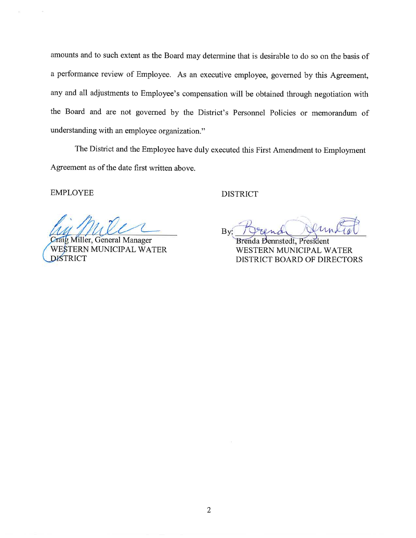amounts and to such extent as the Board may determine that is desirable to do so on the basis of a performance review of Employee. As an executive employee, governed by this Agreement, any and all adjustments to Employee's compensation will be obtained through negotiation with the Board and are not governed by the District's Personnel Policies or memorandum of understanding with an employee organization."

The District and the Employee have duly executed this First Amendment to Employment Agreement as of the date first written above.

**EMPLOYEE** 

Miller, General Manager STERN MUNICIPAL WATER **DISTRICT** 

**DISTRICT** 

By

Brenda Dennstedt, President WESTERN MUNICIPAL WATER **DISTRICT BOARD OF DIRECTORS**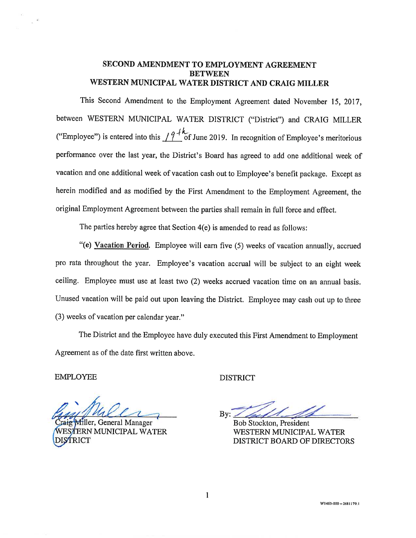# SECOND AMENDMENT TO EMPLOYMENT AGREEMENT **BETWEEN** WESTERN MUNICIPAL WATER DISTRICT AND CRAIG MILLER

This Second Amendment to the Employment Agreement dated November 15, 2017, between WESTERN MUNICIPAL WATER DISTRICT ("District") and CRAIG MILLER ("Employee") is entered into this  $19^{+k}$  of June 2019. In recognition of Employee's meritorious performance over the last year, the District's Board has agreed to add one additional week of vacation and one additional week of vacation cash out to Employee's benefit package. Except as herein modified and as modified by the First Amendment to the Employment Agreement, the original Employment Agreement between the parties shall remain in full force and effect.

The parties hereby agree that Section 4(e) is amended to read as follows:

"(e) Vacation Period. Employee will earn five (5) weeks of vacation annually, accrued pro rata throughout the year. Employee's vacation accrual will be subject to an eight week ceiling. Employee must use at least two (2) weeks accrued vacation time on an annual basis. Unused vacation will be paid out upon leaving the District. Employee may cash out up to three (3) weeks of vacation per calendar year."

The District and the Employee have duly executed this First Amendment to Employment Agreement as of the date first written above.

**EMPLOYEE** 

filler, General Manager ERN MUNICIPAL WATER

**DISTRICT** 

 $Bv:$ 

**Bob Stockton, President** WESTERN MUNICIPAL WATER DISTRICT BOARD OF DIRECTORS

 $\mathbf{1}$